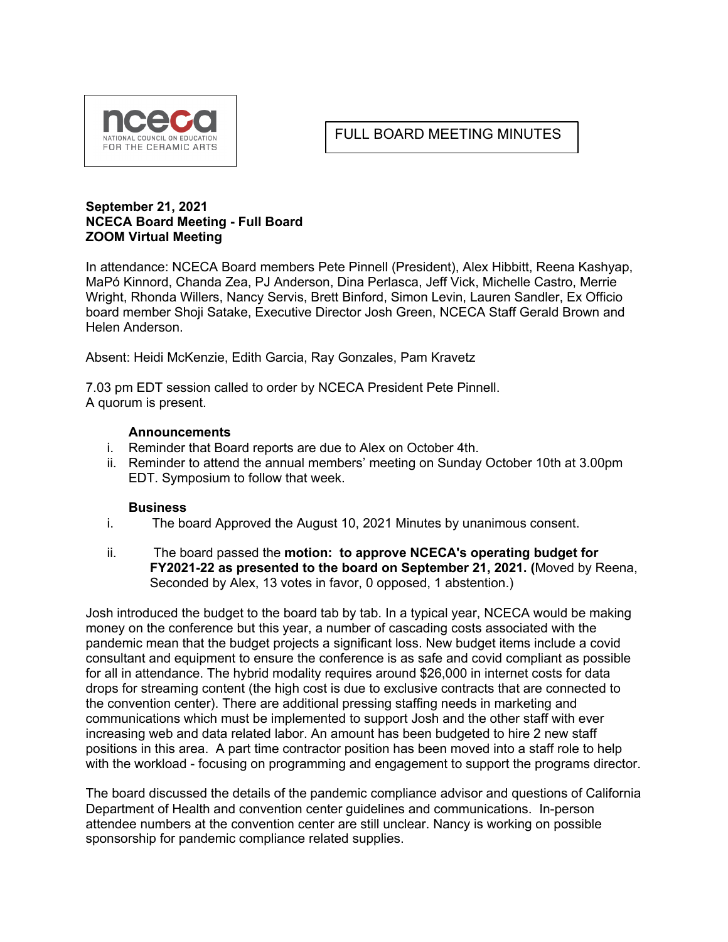

## FULL BOARD MEETING MINUTES

## **September 21, 2021 NCECA Board Meeting - Full Board ZOOM Virtual Meeting**

In attendance: NCECA Board members Pete Pinnell (President), Alex Hibbitt, Reena Kashyap, MaPó Kinnord, Chanda Zea, PJ Anderson, Dina Perlasca, Jeff Vick, Michelle Castro, Merrie Wright, Rhonda Willers, Nancy Servis, Brett Binford, Simon Levin, Lauren Sandler, Ex Officio board member Shoji Satake, Executive Director Josh Green, NCECA Staff Gerald Brown and Helen Anderson.

Absent: Heidi McKenzie, Edith Garcia, Ray Gonzales, Pam Kravetz

7.03 pm EDT session called to order by NCECA President Pete Pinnell. A quorum is present.

## **Announcements**

- i. Reminder that Board reports are due to Alex on October 4th.
- ii. Reminder to attend the annual members' meeting on Sunday October 10th at 3.00pm EDT. Symposium to follow that week.

## **Business**

- i.The board Approved the August 10, 2021 Minutes by unanimous consent.
- ii. The board passed the **motion: to approve NCECA's operating budget for FY2021-22 as presented to the board on September 21, 2021. (**Moved by Reena, Seconded by Alex, 13 votes in favor, 0 opposed, 1 abstention.)

Josh introduced the budget to the board tab by tab. In a typical year, NCECA would be making money on the conference but this year, a number of cascading costs associated with the pandemic mean that the budget projects a significant loss. New budget items include a covid consultant and equipment to ensure the conference is as safe and covid compliant as possible for all in attendance. The hybrid modality requires around \$26,000 in internet costs for data drops for streaming content (the high cost is due to exclusive contracts that are connected to the convention center). There are additional pressing staffing needs in marketing and communications which must be implemented to support Josh and the other staff with ever increasing web and data related labor. An amount has been budgeted to hire 2 new staff positions in this area. A part time contractor position has been moved into a staff role to help with the workload - focusing on programming and engagement to support the programs director.

The board discussed the details of the pandemic compliance advisor and questions of California Department of Health and convention center guidelines and communications. In-person attendee numbers at the convention center are still unclear. Nancy is working on possible sponsorship for pandemic compliance related supplies.